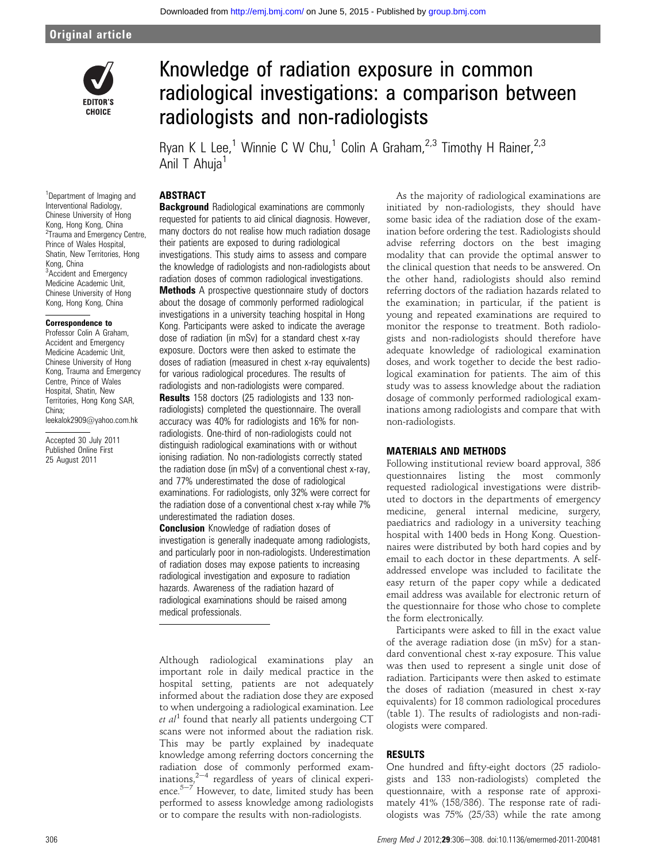

# Knowledge of radiation exposure in common radiological investigations: a comparison between radiologists and non-radiologists

Ryan K L Lee,<sup>1</sup> Winnie C W Chu,<sup>1</sup> Colin A Graham,<sup>2,3</sup> Timothy H Rainer,<sup>2,3</sup> Anil T Ahuja<sup>1</sup>

## ABSTRACT

<sup>1</sup>Department of Imaging and Interventional Radiology, Chinese University of Hong Kong, Hong Kong, China <sup>2</sup>Trauma and Emergency Centre, Prince of Wales Hospital, Shatin, New Territories, Hong Kong, China <sup>3</sup>Accident and Emergency Medicine Academic Unit, Chinese University of Hong Kong, Hong Kong, China

#### Correspondence to

Professor Colin A Graham, Accident and Emergency Medicine Academic Unit, Chinese University of Hong Kong, Trauma and Emergency Centre, Prince of Wales Hospital, Shatin, New Territories, Hong Kong SAR, China; leekalok2909@yahoo.com.hk

Accepted 30 July 2011 Published Online First 25 August 2011

**Background** Radiological examinations are commonly requested for patients to aid clinical diagnosis. However, many doctors do not realise how much radiation dosage their patients are exposed to during radiological investigations. This study aims to assess and compare the knowledge of radiologists and non-radiologists about radiation doses of common radiological investigations. **Methods** A prospective questionnaire study of doctors about the dosage of commonly performed radiological investigations in a university teaching hospital in Hong Kong. Participants were asked to indicate the average dose of radiation (in mSv) for a standard chest x-ray exposure. Doctors were then asked to estimate the doses of radiation (measured in chest x-ray equivalents) for various radiological procedures. The results of radiologists and non-radiologists were compared.

Results 158 doctors (25 radiologists and 133 nonradiologists) completed the questionnaire. The overall accuracy was 40% for radiologists and 16% for nonradiologists. One-third of non-radiologists could not distinguish radiological examinations with or without ionising radiation. No non-radiologists correctly stated the radiation dose (in mSv) of a conventional chest x-ray, and 77% underestimated the dose of radiological examinations. For radiologists, only 32% were correct for the radiation dose of a conventional chest x-ray while 7% underestimated the radiation doses.

**Conclusion** Knowledge of radiation doses of investigation is generally inadequate among radiologists, and particularly poor in non-radiologists. Underestimation of radiation doses may expose patients to increasing radiological investigation and exposure to radiation hazards. Awareness of the radiation hazard of radiological examinations should be raised among medical professionals.

Although radiological examinations play an important role in daily medical practice in the hospital setting, patients are not adequately informed about the radiation dose they are exposed to when undergoing a radiological examination. Lee et  $al^1$  found that nearly all patients undergoing CT scans were not informed about the radiation risk. This may be partly explained by inadequate knowledge among referring doctors concerning the radiation dose of commonly performed examinations, $2^{-4}$  regardless of years of clinical experience. $5-7$  However, to date, limited study has been performed to assess knowledge among radiologists or to compare the results with non-radiologists.

As the majority of radiological examinations are initiated by non-radiologists, they should have some basic idea of the radiation dose of the examination before ordering the test. Radiologists should advise referring doctors on the best imaging modality that can provide the optimal answer to the clinical question that needs to be answered. On the other hand, radiologists should also remind referring doctors of the radiation hazards related to the examination; in particular, if the patient is young and repeated examinations are required to monitor the response to treatment. Both radiologists and non-radiologists should therefore have adequate knowledge of radiological examination doses, and work together to decide the best radiological examination for patients. The aim of this study was to assess knowledge about the radiation dosage of commonly performed radiological examinations among radiologists and compare that with non-radiologists.

### MATERIALS AND METHODS

Following institutional review board approval, 386 questionnaires listing the most commonly requested radiological investigations were distributed to doctors in the departments of emergency medicine, general internal medicine, surgery, paediatrics and radiology in a university teaching hospital with 1400 beds in Hong Kong. Questionnaires were distributed by both hard copies and by email to each doctor in these departments. A selfaddressed envelope was included to facilitate the easy return of the paper copy while a dedicated email address was available for electronic return of the questionnaire for those who chose to complete the form electronically.

Participants were asked to fill in the exact value of the average radiation dose (in mSv) for a standard conventional chest x-ray exposure. This value was then used to represent a single unit dose of radiation. Participants were then asked to estimate the doses of radiation (measured in chest x-ray equivalents) for 18 common radiological procedures (table 1). The results of radiologists and non-radiologists were compared.

# RESULTS

One hundred and fifty-eight doctors (25 radiologists and 133 non-radiologists) completed the questionnaire, with a response rate of approximately 41% (158/386). The response rate of radiologists was 75% (25/33) while the rate among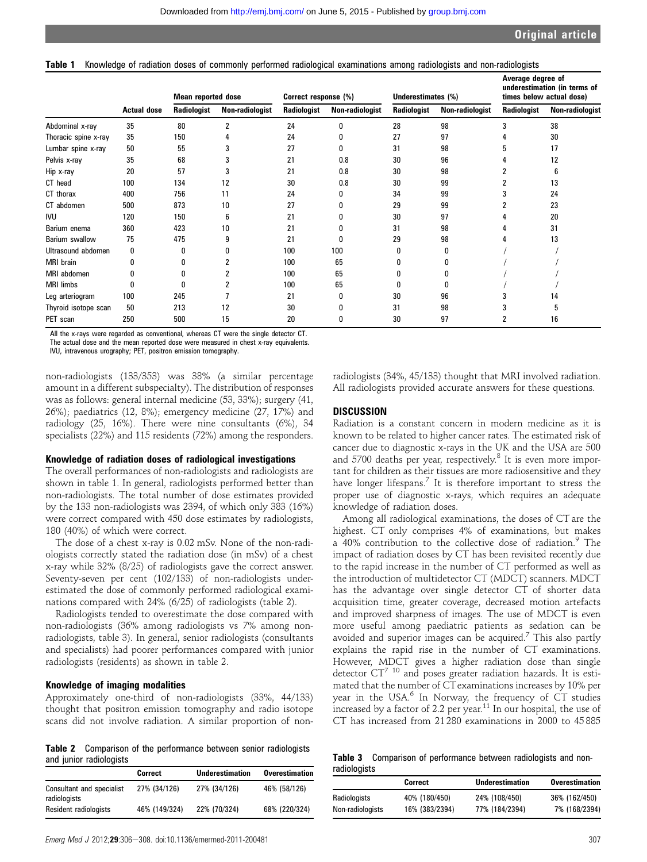#### Table 1 Knowledge of radiation doses of commonly performed radiological examinations among radiologists and non-radiologists

|                      | <b>Actual dose</b> | <b>Mean reported dose</b> |                 | Correct response (%) |                 | Underestimates (%) |                 | Average degree of<br>underestimation (in terms of<br>times below actual dose) |                 |
|----------------------|--------------------|---------------------------|-----------------|----------------------|-----------------|--------------------|-----------------|-------------------------------------------------------------------------------|-----------------|
|                      |                    | Radiologist               | Non-radiologist | Radiologist          | Non-radiologist | Radiologist        | Non-radiologist | Radiologist                                                                   | Non-radiologist |
| Abdominal x-ray      | 35                 | 80                        | 2               | 24                   | 0               | 28                 | 98              | 3                                                                             | 38              |
| Thoracic spine x-ray | 35                 | 150                       |                 | 24                   | 0               | 27                 | 97              | 4                                                                             | 30              |
| Lumbar spine x-ray   | 50                 | 55                        |                 | 27                   | 0               | 31                 | 98              |                                                                               | 17              |
| Pelvis x-ray         | 35                 | 68                        |                 | 21                   | 0.8             | 30                 | 96              |                                                                               | 12              |
| Hip x-ray            | 20                 | 57                        |                 | 21                   | 0.8             | 30                 | 98              |                                                                               | 6               |
| CT head              | 100                | 134                       | 12              | 30                   | 0.8             | 30                 | 99              |                                                                               | 13              |
| CT thorax            | 400                | 756                       | 11              | 24                   | 0               | 34                 | 99              |                                                                               | 24              |
| CT abdomen           | 500                | 873                       | 10              | 27                   | ŋ               | 29                 | 99              |                                                                               | 23              |
| <b>IVU</b>           | 120                | 150                       | 6               | 21                   |                 | 30                 | 97              |                                                                               | 20              |
| Barium enema         | 360                | 423                       | 10              | 21                   |                 | 31                 | 98              |                                                                               | 31              |
| Barium swallow       | 75                 | 475                       | 9               | 21                   | 0               | 29                 | 98              |                                                                               | 13              |
| Ultrasound abdomen   | 0                  | 0                         | N               | 100                  | 100             |                    |                 |                                                                               |                 |
| <b>MRI</b> brain     | n                  | 0                         |                 | 100                  | 65              |                    |                 |                                                                               |                 |
| MRI abdomen          |                    | 0                         |                 | 100                  | 65              |                    |                 |                                                                               |                 |
| <b>MRI</b> limbs     | n                  | 0                         |                 | 100                  | 65              | O                  |                 |                                                                               |                 |
| Leg arteriogram      | 100                | 245                       |                 | 21                   | 0               | 30                 | 96              |                                                                               | 14              |
| Thyroid isotope scan | 50                 | 213                       | 12              | 30                   | 0               | 31                 | 98              |                                                                               | 5               |
| PET scan             | 250                | 500                       | 15              | 20                   | 0               | 30                 | 97              | 2                                                                             | 16              |

All the x-rays were regarded as conventional, whereas CT were the single detector CT.

The actual dose and the mean reported dose were measured in chest x-ray equivalents.

IVU, intravenous urography; PET, positron emission tomography.

non-radiologists (133/353) was 38% (a similar percentage amount in a different subspecialty). The distribution of responses was as follows: general internal medicine (53, 33%); surgery (41, 26%); paediatrics (12, 8%); emergency medicine (27, 17%) and radiology (25, 16%). There were nine consultants (6%), 34 specialists (22%) and 115 residents (72%) among the responders.

#### Knowledge of radiation doses of radiological investigations

The overall performances of non-radiologists and radiologists are shown in table 1. In general, radiologists performed better than non-radiologists. The total number of dose estimates provided by the 133 non-radiologists was 2394, of which only 383 (16%) were correct compared with 450 dose estimates by radiologists, 180 (40%) of which were correct.

The dose of a chest x-ray is 0.02 mSv. None of the non-radiologists correctly stated the radiation dose (in mSv) of a chest x-ray while 32% (8/25) of radiologists gave the correct answer. Seventy-seven per cent (102/133) of non-radiologists underestimated the dose of commonly performed radiological examinations compared with 24% (6/25) of radiologists (table 2).

Radiologists tended to overestimate the dose compared with non-radiologists (36% among radiologists vs 7% among nonradiologists, table 3). In general, senior radiologists (consultants and specialists) had poorer performances compared with junior radiologists (residents) as shown in table 2.

#### Knowledge of imaging modalities

Approximately one-third of non-radiologists (33%, 44/133) thought that positron emission tomography and radio isotope scans did not involve radiation. A similar proportion of non-

Table 2 Comparison of the performance between senior radiologists and junior radiologists

|                                           | <b>Correct</b> | <b>Underestimation</b> | <b>Overestimation</b> |
|-------------------------------------------|----------------|------------------------|-----------------------|
| Consultant and specialist<br>radiologists | 27% (34/126)   | 27% (34/126)           | 46% (58/126)          |
| <b>Resident radiologists</b>              | 46% (149/324)  | 22% (70/324)           | 68% (220/324)         |

radiologists (34%, 45/133) thought that MRI involved radiation. All radiologists provided accurate answers for these questions.

#### **DISCUSSION**

Radiation is a constant concern in modern medicine as it is known to be related to higher cancer rates. The estimated risk of cancer due to diagnostic x-rays in the UK and the USA are 500 and 5700 deaths per year, respectively.<sup>8</sup> It is even more important for children as their tissues are more radiosensitive and they have longer lifespans.<sup>7</sup> It is therefore important to stress the proper use of diagnostic x-rays, which requires an adequate knowledge of radiation doses.

Among all radiological examinations, the doses of CT are the highest. CT only comprises 4% of examinations, but makes a 40% contribution to the collective dose of radiation.<sup>9</sup> The impact of radiation doses by CT has been revisited recently due to the rapid increase in the number of CT performed as well as the introduction of multidetector CT (MDCT) scanners. MDCT has the advantage over single detector CT of shorter data acquisition time, greater coverage, decreased motion artefacts and improved sharpness of images. The use of MDCT is even more useful among paediatric patients as sedation can be avoided and superior images can be acquired.<sup>7</sup> This also partly explains the rapid rise in the number of CT examinations. However, MDCT gives a higher radiation dose than single detector CT<sup>7 10</sup> and poses greater radiation hazards. It is estimated that the number of CTexaminations increases by 10% per year in the USA.<sup>6</sup> In Norway, the frequency of CT studies increased by a factor of 2.2 per year.<sup>11</sup> In our hospital, the use of CT has increased from 21 280 examinations in 2000 to 45 885

|              | Table 3 Comparison of performance between radiologists and non- |  |  |
|--------------|-----------------------------------------------------------------|--|--|
| radiologists |                                                                 |  |  |

|                  | <b>Correct</b> | <b>Underestimation</b> | <b>Overestimation</b> |
|------------------|----------------|------------------------|-----------------------|
| Radiologists     | 40% (180/450)  | 24% (108/450)          | 36% (162/450)         |
| Non-radiologists | 16% (383/2394) | 77% (184/2394)         | 7% (168/2394)         |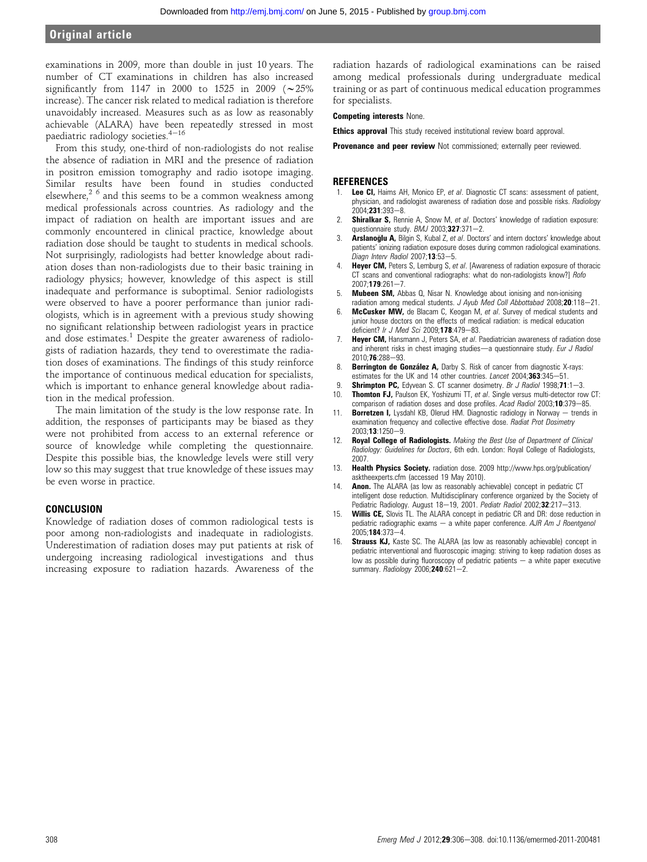examinations in 2009, more than double in just 10 years. The number of CT examinations in children has also increased significantly from 1147 in 2000 to 1525 in 2009 ( $\sim$ 25% increase). The cancer risk related to medical radiation is therefore unavoidably increased. Measures such as as low as reasonably achievable (ALARA) have been repeatedly stressed in most paediatric radiology societies. $4-16$ 

From this study, one-third of non-radiologists do not realise the absence of radiation in MRI and the presence of radiation in positron emission tomography and radio isotope imaging. Similar results have been found in studies conducted elsewhere, $2^{6}$  and this seems to be a common weakness among medical professionals across countries. As radiology and the impact of radiation on health are important issues and are commonly encountered in clinical practice, knowledge about radiation dose should be taught to students in medical schools. Not surprisingly, radiologists had better knowledge about radiation doses than non-radiologists due to their basic training in radiology physics; however, knowledge of this aspect is still inadequate and performance is suboptimal. Senior radiologists were observed to have a poorer performance than junior radiologists, which is in agreement with a previous study showing no significant relationship between radiologist years in practice and dose estimates.<sup>1</sup> Despite the greater awareness of radiologists of radiation hazards, they tend to overestimate the radiation doses of examinations. The findings of this study reinforce the importance of continuous medical education for specialists, which is important to enhance general knowledge about radiation in the medical profession.

The main limitation of the study is the low response rate. In addition, the responses of participants may be biased as they were not prohibited from access to an external reference or source of knowledge while completing the questionnaire. Despite this possible bias, the knowledge levels were still very low so this may suggest that true knowledge of these issues may be even worse in practice.

#### **CONCLUSION**

Knowledge of radiation doses of common radiological tests is poor among non-radiologists and inadequate in radiologists. Underestimation of radiation doses may put patients at risk of undergoing increasing radiological investigations and thus increasing exposure to radiation hazards. Awareness of the radiation hazards of radiological examinations can be raised among medical professionals during undergraduate medical training or as part of continuous medical education programmes for specialists.

#### Competing interests None.

**Ethics approval** This study received institutional review board approval.

Provenance and peer review Not commissioned; externally peer reviewed.

#### **REFERENCES**

- Lee CI, Haims AH, Monico EP, et al. Diagnostic CT scans: assessment of patient, physician, and radiologist awareness of radiation dose and possible risks. Radiology  $2004:231:393 - 8$
- 2. Shiralkar S, Rennie A, Snow M, et al. Doctors' knowledge of radiation exposure: questionnaire study.  $BMJ$  2003; 327:371-2.
- Arslanoğlu A, Bilgin S, Kubal Z, et al. Doctors' and intern doctors' knowledge about patients' ionizing radiation exposure doses during common radiological examinations. Diagn Interv Radiol 2007;13:53-5.
- 4. Heyer CM, Peters S, Lemburg S, et al. [Awareness of radiation exposure of thoracic CT scans and conventional radiographs: what do non-radiologists know?] Rofo  $2007:179:261 - 7.$
- 5. Mubeen SM, Abbas Q, Nisar N. Knowledge about ionising and non-ionising radiation among medical students. J Avub Med Coll Abbottabad 2008:20:118-21.
- 6. McCusker MW, de Blacam C, Keogan M, et al. Survey of medical students and junior house doctors on the effects of medical radiation: is medical education deficient? Ir J Med Sci 2009;178:479-83.
- 7. **Hever CM,** Hansmann J. Peters SA, et al. Paediatrician awareness of radiation dose and inherent risks in chest imaging studies-a questionnaire study. Eur J Radiol 2010:76:288-93.
- 8. Berrington de González A, Darby S. Risk of cancer from diagnostic X-rays: estimates for the UK and 14 other countries. Lancet 2004;363:345-51.
- 9. Shrimpton PC, Edyvean S. CT scanner dosimetry. Br J Radiol 1998;71:1-3.
- 10. Thomton FJ, Paulson EK, Yoshizumi TT, et al. Single versus multi-detector row CT: comparison of radiation doses and dose profiles. Acad Radiol 2003;10:379-85.
- 11. **Borretzen I,** Lysdahl KB, Olerud HM. Diagnostic radiology in Norway  $-$  trends in examination frequency and collective effective dose. Radiat Prot Dosimetry  $2003:13:1250 - 9$
- 12. Royal College of Radiologists. Making the Best Use of Department of Clinical Radiology: Guidelines for Doctors, 6th edn. London: Royal College of Radiologists, 2007.
- 13. Health Physics Society. radiation dose. 2009 http://www.hps.org/publication/ asktheexperts.cfm (accessed 19 May 2010).
- 14. **Anon.** The ALARA (as low as reasonably achievable) concept in pediatric CT intelligent dose reduction. Multidisciplinary conference organized by the Society of Pediatric Radiology. August 18-19, 2001. Pediatr Radiol 2002;32:217-313.
- Willis CE, Slovis TL. The ALARA concept in pediatric CR and DR: dose reduction in pediatric radiographic exams  $-$  a white paper conference. AJR Am J Roentgenol 2005;184:373-4.
- 16. **Strauss KJ,** Kaste SC. The ALARA (as low as reasonably achievable) concept in pediatric interventional and fluoroscopic imaging: striving to keep radiation doses as low as possible during fluoroscopy of pediatric patients  $-$  a white paper executive summary. Radiology  $2006; 240:621-2$ .